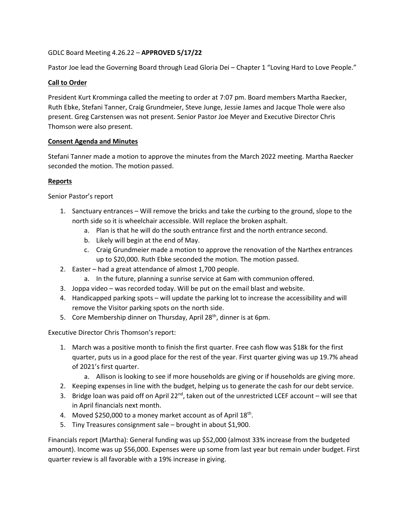# GDLC Board Meeting 4.26.22 – **APPROVED 5/17/22**

Pastor Joe lead the Governing Board through Lead Gloria Dei – Chapter 1 "Loving Hard to Love People."

## **Call to Order**

President Kurt Kromminga called the meeting to order at 7:07 pm. Board members Martha Raecker, Ruth Ebke, Stefani Tanner, Craig Grundmeier, Steve Junge, Jessie James and Jacque Thole were also present. Greg Carstensen was not present. Senior Pastor Joe Meyer and Executive Director Chris Thomson were also present.

#### **Consent Agenda and Minutes**

Stefani Tanner made a motion to approve the minutes from the March 2022 meeting. Martha Raecker seconded the motion. The motion passed.

#### **Reports**

Senior Pastor's report

- 1. Sanctuary entrances Will remove the bricks and take the curbing to the ground, slope to the north side so it is wheelchair accessible. Will replace the broken asphalt.
	- a. Plan is that he will do the south entrance first and the north entrance second.
	- b. Likely will begin at the end of May.
	- c. Craig Grundmeier made a motion to approve the renovation of the Narthex entrances up to \$20,000. Ruth Ebke seconded the motion. The motion passed.
- 2. Easter had a great attendance of almost 1,700 people.
	- a. In the future, planning a sunrise service at 6am with communion offered.
- 3. Joppa video was recorded today. Will be put on the email blast and website.
- 4. Handicapped parking spots will update the parking lot to increase the accessibility and will remove the Visitor parking spots on the north side.
- 5. Core Membership dinner on Thursday, April 28<sup>th</sup>, dinner is at 6pm.

Executive Director Chris Thomson's report:

- 1. March was a positive month to finish the first quarter. Free cash flow was \$18k for the first quarter, puts us in a good place for the rest of the year. First quarter giving was up 19.7% ahead of 2021's first quarter.
	- a. Allison is looking to see if more households are giving or if households are giving more.
- 2. Keeping expenses in line with the budget, helping us to generate the cash for our debt service.
- 3. Bridge loan was paid off on April 22<sup>nd</sup>, taken out of the unrestricted LCEF account will see that in April financials next month.
- 4. Moved \$250,000 to a money market account as of April  $18<sup>th</sup>$ .
- 5. Tiny Treasures consignment sale brought in about \$1,900.

Financials report (Martha): General funding was up \$52,000 (almost 33% increase from the budgeted amount). Income was up \$56,000. Expenses were up some from last year but remain under budget. First quarter review is all favorable with a 19% increase in giving.